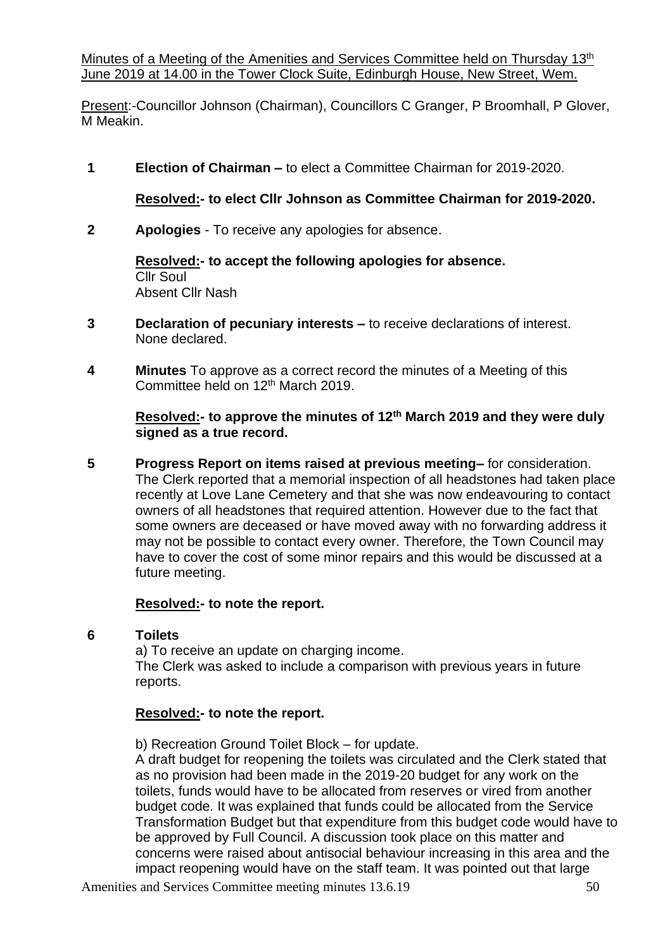Minutes of a Meeting of the Amenities and Services Committee held on Thursday 13<sup>th</sup> June 2019 at 14.00 in the Tower Clock Suite, Edinburgh House, New Street, Wem.

Present:-Councillor Johnson (Chairman), Councillors C Granger, P Broomhall, P Glover, M Meakin.

**1 Election of Chairman –** to elect a Committee Chairman for 2019-2020.

## **Resolved:- to elect Cllr Johnson as Committee Chairman for 2019-2020.**

**2 Apologies** - To receive any apologies for absence.

**Resolved:- to accept the following apologies for absence.** Cllr Soul Absent Cllr Nash

- **3 Declaration of pecuniary interests –** to receive declarations of interest. None declared.
- **4 Minutes** To approve as a correct record the minutes of a Meeting of this Committee held on 12th March 2019.

**Resolved:- to approve the minutes of 12th March 2019 and they were duly signed as a true record.**

**5 Progress Report on items raised at previous meeting–** for consideration. The Clerk reported that a memorial inspection of all headstones had taken place recently at Love Lane Cemetery and that she was now endeavouring to contact owners of all headstones that required attention. However due to the fact that some owners are deceased or have moved away with no forwarding address it may not be possible to contact every owner. Therefore, the Town Council may have to cover the cost of some minor repairs and this would be discussed at a future meeting.

### **Resolved:- to note the report.**

### **6 Toilets**

a) To receive an update on charging income. The Clerk was asked to include a comparison with previous years in future reports.

### **Resolved:- to note the report.**

b) Recreation Ground Toilet Block – for update.

A draft budget for reopening the toilets was circulated and the Clerk stated that as no provision had been made in the 2019-20 budget for any work on the toilets, funds would have to be allocated from reserves or vired from another budget code. It was explained that funds could be allocated from the Service Transformation Budget but that expenditure from this budget code would have to be approved by Full Council. A discussion took place on this matter and concerns were raised about antisocial behaviour increasing in this area and the impact reopening would have on the staff team. It was pointed out that large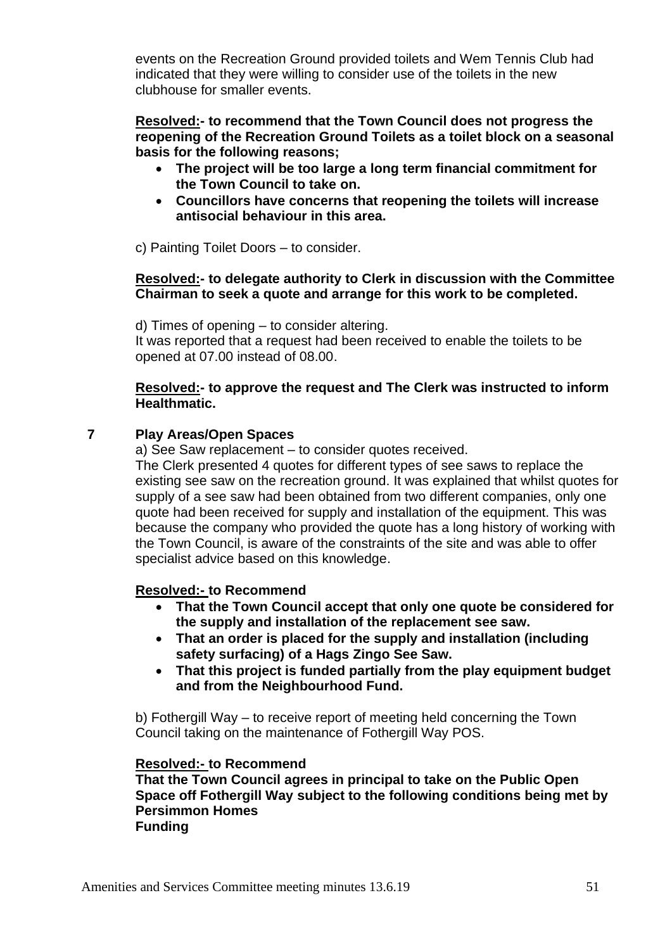events on the Recreation Ground provided toilets and Wem Tennis Club had indicated that they were willing to consider use of the toilets in the new clubhouse for smaller events.

**Resolved:- to recommend that the Town Council does not progress the reopening of the Recreation Ground Toilets as a toilet block on a seasonal basis for the following reasons;**

- **The project will be too large a long term financial commitment for the Town Council to take on.**
- **Councillors have concerns that reopening the toilets will increase antisocial behaviour in this area.**

c) Painting Toilet Doors – to consider.

#### **Resolved:- to delegate authority to Clerk in discussion with the Committee Chairman to seek a quote and arrange for this work to be completed.**

d) Times of opening – to consider altering.

It was reported that a request had been received to enable the toilets to be opened at 07.00 instead of 08.00.

#### **Resolved:- to approve the request and The Clerk was instructed to inform Healthmatic.**

### **7 Play Areas/Open Spaces**

a) See Saw replacement – to consider quotes received.

The Clerk presented 4 quotes for different types of see saws to replace the existing see saw on the recreation ground. It was explained that whilst quotes for supply of a see saw had been obtained from two different companies, only one quote had been received for supply and installation of the equipment. This was because the company who provided the quote has a long history of working with the Town Council, is aware of the constraints of the site and was able to offer specialist advice based on this knowledge.

### **Resolved:- to Recommend**

- **That the Town Council accept that only one quote be considered for the supply and installation of the replacement see saw.**
- **That an order is placed for the supply and installation (including safety surfacing) of a Hags Zingo See Saw.**
- **That this project is funded partially from the play equipment budget and from the Neighbourhood Fund.**

b) Fothergill Way – to receive report of meeting held concerning the Town Council taking on the maintenance of Fothergill Way POS.

#### **Resolved:- to Recommend**

**That the Town Council agrees in principal to take on the Public Open Space off Fothergill Way subject to the following conditions being met by Persimmon Homes Funding**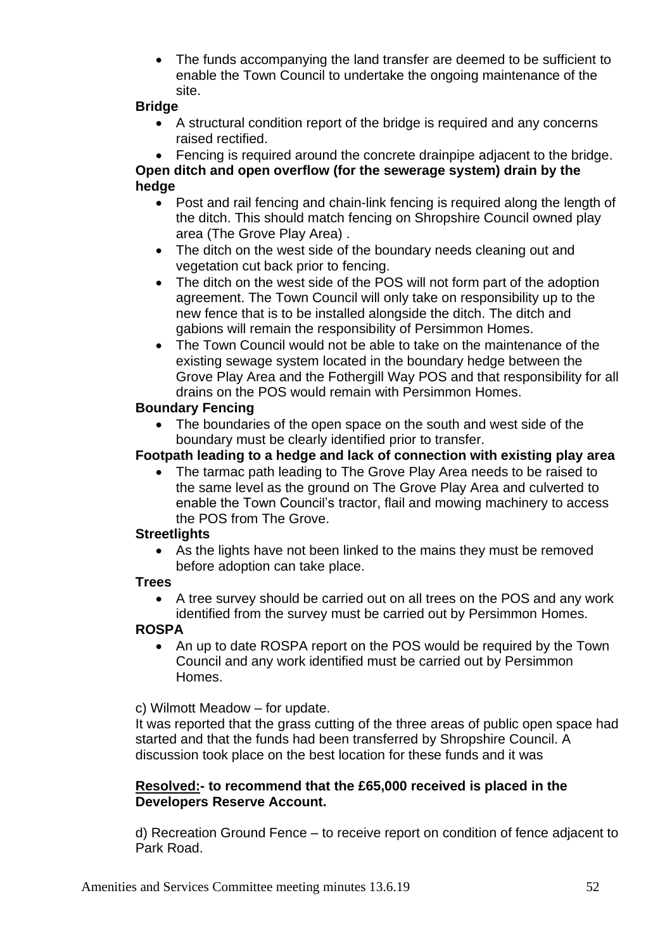• The funds accompanying the land transfer are deemed to be sufficient to enable the Town Council to undertake the ongoing maintenance of the site.

## **Bridge**

• A structural condition report of the bridge is required and any concerns raised rectified.

• Fencing is required around the concrete drainpipe adjacent to the bridge. **Open ditch and open overflow (for the sewerage system) drain by the hedge**

- Post and rail fencing and chain-link fencing is required along the length of the ditch. This should match fencing on Shropshire Council owned play area (The Grove Play Area) .
- The ditch on the west side of the boundary needs cleaning out and vegetation cut back prior to fencing.
- The ditch on the west side of the POS will not form part of the adoption agreement. The Town Council will only take on responsibility up to the new fence that is to be installed alongside the ditch. The ditch and gabions will remain the responsibility of Persimmon Homes.
- The Town Council would not be able to take on the maintenance of the existing sewage system located in the boundary hedge between the Grove Play Area and the Fothergill Way POS and that responsibility for all drains on the POS would remain with Persimmon Homes.

### **Boundary Fencing**

• The boundaries of the open space on the south and west side of the boundary must be clearly identified prior to transfer.

## **Footpath leading to a hedge and lack of connection with existing play area**

• The tarmac path leading to The Grove Play Area needs to be raised to the same level as the ground on The Grove Play Area and culverted to enable the Town Council's tractor, flail and mowing machinery to access the POS from The Grove.

### **Streetlights**

• As the lights have not been linked to the mains they must be removed before adoption can take place.

## **Trees**

• A tree survey should be carried out on all trees on the POS and any work identified from the survey must be carried out by Persimmon Homes.

### **ROSPA**

• An up to date ROSPA report on the POS would be required by the Town Council and any work identified must be carried out by Persimmon Homes.

c) Wilmott Meadow – for update.

It was reported that the grass cutting of the three areas of public open space had started and that the funds had been transferred by Shropshire Council. A discussion took place on the best location for these funds and it was

## **Resolved:- to recommend that the £65,000 received is placed in the Developers Reserve Account.**

d) Recreation Ground Fence – to receive report on condition of fence adjacent to Park Road.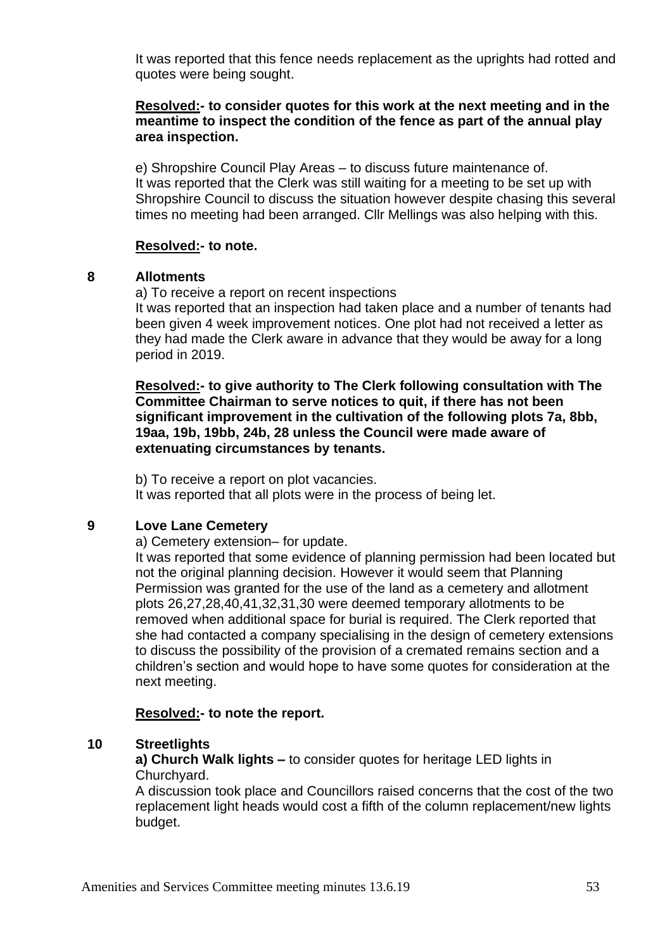It was reported that this fence needs replacement as the uprights had rotted and quotes were being sought.

### **Resolved:- to consider quotes for this work at the next meeting and in the meantime to inspect the condition of the fence as part of the annual play area inspection.**

e) Shropshire Council Play Areas – to discuss future maintenance of. It was reported that the Clerk was still waiting for a meeting to be set up with Shropshire Council to discuss the situation however despite chasing this several times no meeting had been arranged. Cllr Mellings was also helping with this.

### **Resolved:- to note.**

#### **8 Allotments**

a) To receive a report on recent inspections

It was reported that an inspection had taken place and a number of tenants had been given 4 week improvement notices. One plot had not received a letter as they had made the Clerk aware in advance that they would be away for a long period in 2019.

**Resolved:- to give authority to The Clerk following consultation with The Committee Chairman to serve notices to quit, if there has not been significant improvement in the cultivation of the following plots 7a, 8bb, 19aa, 19b, 19bb, 24b, 28 unless the Council were made aware of extenuating circumstances by tenants.**

b) To receive a report on plot vacancies. It was reported that all plots were in the process of being let.

### **9 Love Lane Cemetery**

a) Cemetery extension– for update.

It was reported that some evidence of planning permission had been located but not the original planning decision. However it would seem that Planning Permission was granted for the use of the land as a cemetery and allotment plots 26,27,28,40,41,32,31,30 were deemed temporary allotments to be removed when additional space for burial is required. The Clerk reported that she had contacted a company specialising in the design of cemetery extensions to discuss the possibility of the provision of a cremated remains section and a children's section and would hope to have some quotes for consideration at the next meeting.

### **Resolved:- to note the report.**

### **10 Streetlights**

**a) Church Walk lights –** to consider quotes for heritage LED lights in Churchyard.

A discussion took place and Councillors raised concerns that the cost of the two replacement light heads would cost a fifth of the column replacement/new lights budget.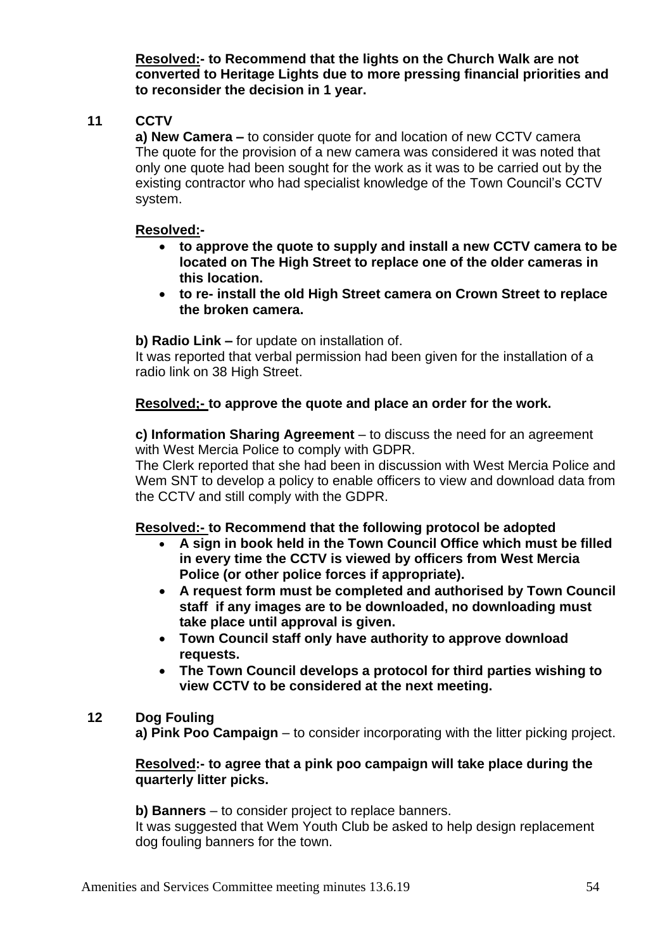**Resolved:- to Recommend that the lights on the Church Walk are not converted to Heritage Lights due to more pressing financial priorities and to reconsider the decision in 1 year.**

# **11 CCTV**

**a) New Camera –** to consider quote for and location of new CCTV camera The quote for the provision of a new camera was considered it was noted that only one quote had been sought for the work as it was to be carried out by the existing contractor who had specialist knowledge of the Town Council's CCTV system.

## **Resolved:-**

- **to approve the quote to supply and install a new CCTV camera to be located on The High Street to replace one of the older cameras in this location.**
- **to re- install the old High Street camera on Crown Street to replace the broken camera.**

**b) Radio Link –** for update on installation of.

It was reported that verbal permission had been given for the installation of a radio link on 38 High Street.

## **Resolved;- to approve the quote and place an order for the work.**

**c) Information Sharing Agreement** – to discuss the need for an agreement with West Mercia Police to comply with GDPR.

The Clerk reported that she had been in discussion with West Mercia Police and Wem SNT to develop a policy to enable officers to view and download data from the CCTV and still comply with the GDPR.

## **Resolved:- to Recommend that the following protocol be adopted**

- **A sign in book held in the Town Council Office which must be filled in every time the CCTV is viewed by officers from West Mercia Police (or other police forces if appropriate).**
- **A request form must be completed and authorised by Town Council staff if any images are to be downloaded, no downloading must take place until approval is given.**
- **Town Council staff only have authority to approve download requests.**
- **The Town Council develops a protocol for third parties wishing to view CCTV to be considered at the next meeting.**

## **12 Dog Fouling**

**a) Pink Poo Campaign** – to consider incorporating with the litter picking project.

### **Resolved:- to agree that a pink poo campaign will take place during the quarterly litter picks.**

**b) Banners** – to consider project to replace banners.

It was suggested that Wem Youth Club be asked to help design replacement dog fouling banners for the town.